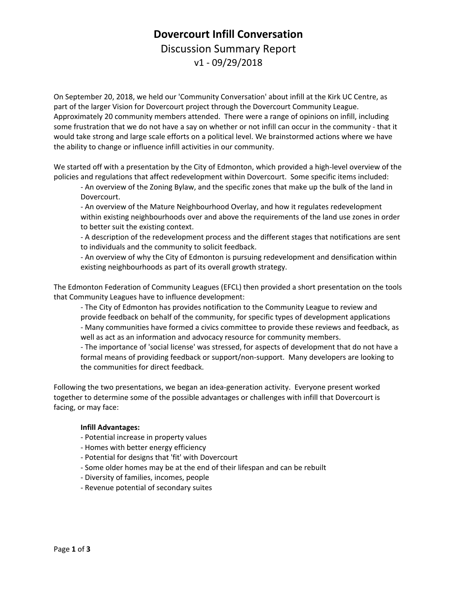# **Dovercourt Infill Conversation** Discussion Summary Report v1 - 09/29/2018

On September 20, 2018, we held our 'Community Conversation' about infill at the Kirk UC Centre, as part of the larger Vision for Dovercourt project through the Dovercourt Community League. Approximately 20 community members attended. There were a range of opinions on infill, including some frustration that we do not have a say on whether or not infill can occur in the community - that it would take strong and large scale efforts on a political level. We brainstormed actions where we have the ability to change or influence infill activities in our community.

We started off with a presentation by the City of Edmonton, which provided a high-level overview of the policies and regulations that affect redevelopment within Dovercourt. Some specific items included:

- An overview of the Zoning Bylaw, and the specific zones that make up the bulk of the land in Dovercourt.

- An overview of the Mature Neighbourhood Overlay, and how it regulates redevelopment within existing neighbourhoods over and above the requirements of the land use zones in order to better suit the existing context.

- A description of the redevelopment process and the different stages that notifications are sent to individuals and the community to solicit feedback.

- An overview of why the City of Edmonton is pursuing redevelopment and densification within existing neighbourhoods as part of its overall growth strategy.

The Edmonton Federation of Community Leagues (EFCL) then provided a short presentation on the tools that Community Leagues have to influence development:

- The City of Edmonton has provides notification to the Community League to review and provide feedback on behalf of the community, for specific types of development applications - Many communities have formed a civics committee to provide these reviews and feedback, as well as act as an information and advocacy resource for community members.

- The importance of 'social license' was stressed, for aspects of development that do not have a formal means of providing feedback or support/non-support. Many developers are looking to the communities for direct feedback.

Following the two presentations, we began an idea-generation activity. Everyone present worked together to determine some of the possible advantages or challenges with infill that Dovercourt is facing, or may face:

#### **Infill Advantages:**

- Potential increase in property values
- Homes with better energy efficiency
- Potential for designs that 'fit' with Dovercourt
- Some older homes may be at the end of their lifespan and can be rebuilt
- Diversity of families, incomes, people
- Revenue potential of secondary suites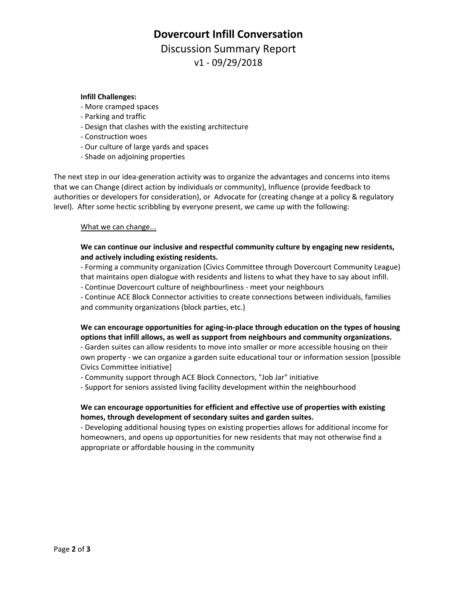## **Dovercourt Infill Conversation**

Discussion Summary Report v1 - 09/29/2018

#### **Infill Challenges:**

- More cramped spaces
- Parking and traffic
- Design that clashes with the existing architecture
- Construction woes
- Our culture of large yards and spaces
- Shade on adjoining properties

The next step in our idea-generation activity was to organize the advantages and concerns into items that we can Change (direct action by individuals or community), Influence (provide feedback to authorities or developers for consideration), or Advocate for (creating change at a policy & regulatory level). After some hectic scribbling by everyone present, we came up with the following:

#### What we can change...

#### **We can continue our inclusive and respectful community culture by engaging new residents, and actively including existing residents.**

- Forming a community organization (Civics Committee through Dovercourt Community League) that maintains open dialogue with residents and listens to what they have to say about infill.

- Continue Dovercourt culture of neighbourliness - meet your neighbours

- Continue ACE Block Connector activities to create connections between individuals, families and community organizations (block parties, etc.)

### **We can encourage opportunities for aging-in-place through education on the types of housing options that infill allows, as well as support from neighbours and community organizations.**

- Garden suites can allow residents to move into smaller or more accessible housing on their own property - we can organize a garden suite educational tour or information session [possible Civics Committee initiative]

- Community support through ACE Block Connectors, "Job Jar" initiative

- Support for seniors assisted living facility development within the neighbourhood

#### **We can encourage opportunities for efficient and effective use of properties with existing homes, through development of secondary suites and garden suites.**

- Developing additional housing types on existing properties allows for additional income for homeowners, and opens up opportunities for new residents that may not otherwise find a appropriate or affordable housing in the community